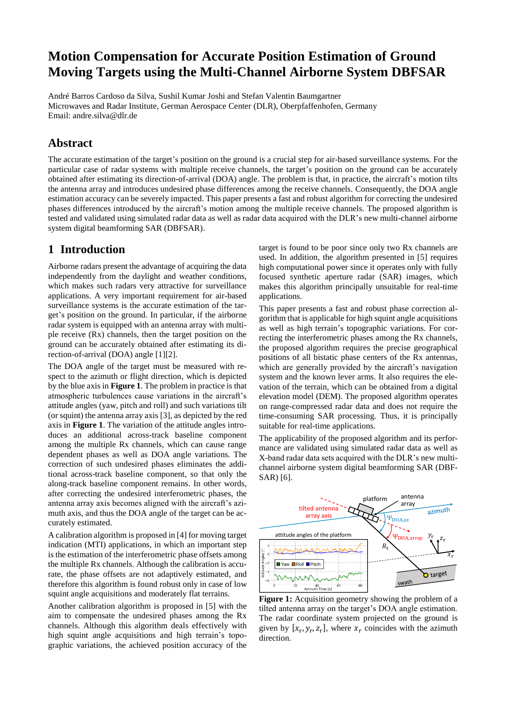# **Motion Compensation for Accurate Position Estimation of Ground Moving Targets using the Multi-Channel Airborne System DBFSAR**

André Barros Cardoso da Silva, Sushil Kumar Joshi and Stefan Valentin Baumgartner Microwaves and Radar Institute, German Aerospace Center (DLR), Oberpfaffenhofen, Germany Email: andre.silva@dlr.de

## **Abstract**

The accurate estimation of the target's position on the ground is a crucial step for air-based surveillance systems. For the particular case of radar systems with multiple receive channels, the target's position on the ground can be accurately obtained after estimating its direction-of-arrival (DOA) angle. The problem is that, in practice, the aircraft's motion tilts the antenna array and introduces undesired phase differences among the receive channels. Consequently, the DOA angle estimation accuracy can be severely impacted. This paper presents a fast and robust algorithm for correcting the undesired phases differences introduced by the aircraft's motion among the multiple receive channels. The proposed algorithm is tested and validated using simulated radar data as well as radar data acquired with the DLR's new multi-channel airborne system digital beamforming SAR (DBFSAR).

## **1 Introduction**

Airborne radars present the advantage of acquiring the data independently from the daylight and weather conditions, which makes such radars very attractive for surveillance applications. A very important requirement for air-based surveillance systems is the accurate estimation of the target's position on the ground. In particular, if the airborne radar system is equipped with an antenna array with multiple receive (Rx) channels, then the target position on the ground can be accurately obtained after estimating its direction-of-arrival (DOA) angle [1][2].

The DOA angle of the target must be measured with respect to the azimuth or flight direction, which is depicted by the blue axis in **Figure 1**. The problem in practice is that atmospheric turbulences cause variations in the aircraft's attitude angles (yaw, pitch and roll) and such variations tilt (or squint) the antenna array axis [3], as depicted by the red axis in **Figure 1**. The variation of the attitude angles introduces an additional across-track baseline component among the multiple Rx channels, which can cause range dependent phases as well as DOA angle variations. The correction of such undesired phases eliminates the additional across-track baseline component, so that only the along-track baseline component remains. In other words, after correcting the undesired interferometric phases, the antenna array axis becomes aligned with the aircraft's azimuth axis, and thus the DOA angle of the target can be accurately estimated.

A calibration algorithm is proposed in [4] for moving target indication (MTI) applications, in which an important step is the estimation of the interferometric phase offsets among the multiple Rx channels. Although the calibration is accurate, the phase offsets are not adaptively estimated, and therefore this algorithm is found robust only in case of low squint angle acquisitions and moderately flat terrains.

Another calibration algorithm is proposed in [5] with the aim to compensate the undesired phases among the Rx channels. Although this algorithm deals effectively with high squint angle acquisitions and high terrain's topographic variations, the achieved position accuracy of the target is found to be poor since only two Rx channels are used. In addition, the algorithm presented in [5] requires high computational power since it operates only with fully focused synthetic aperture radar (SAR) images, which makes this algorithm principally unsuitable for real-time applications.

This paper presents a fast and robust phase correction algorithm that is applicable for high squint angle acquisitions as well as high terrain's topographic variations. For correcting the interferometric phases among the Rx channels, the proposed algorithm requires the precise geographical positions of all bistatic phase centers of the Rx antennas, which are generally provided by the aircraft's navigation system and the known lever arms. It also requires the elevation of the terrain, which can be obtained from a digital elevation model (DEM). The proposed algorithm operates on range-compressed radar data and does not require the time-consuming SAR processing. Thus, it is principally suitable for real-time applications.

The applicability of the proposed algorithm and its performance are validated using simulated radar data as well as X-band radar data sets acquired with the DLR's new multichannel airborne system digital beamforming SAR (DBF-SAR) [6].



**Figure 1:** Acquisition geometry showing the problem of a tilted antenna array on the target's DOA angle estimation. The radar coordinate system projected on the ground is given by  $[x_r, y_r, z_r]$ , where  $x_r$  coincides with the azimuth direction.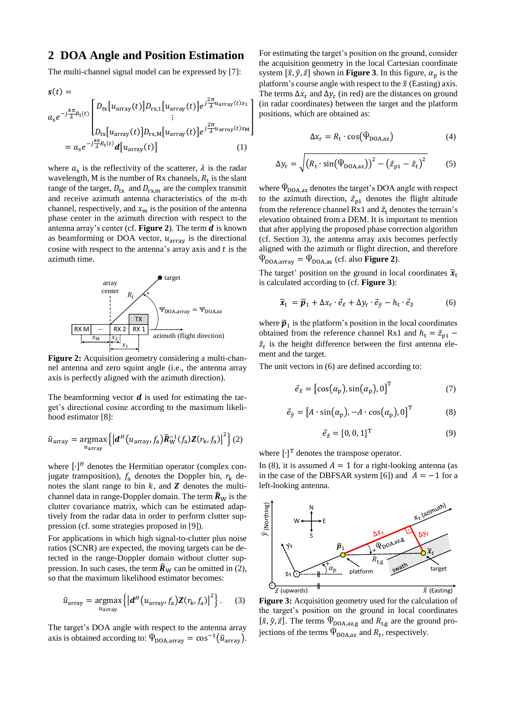#### **2 DOA Angle and Position Estimation**

The multi-channel signal model can be expressed by [7]:

$$
\mathbf{s}(t) =
$$
\n
$$
a_{s}e^{-j\frac{4\pi}{\lambda}R_{t}(t)}\begin{bmatrix}D_{\text{tx}}[u_{\text{array}}(t)]D_{\text{rx},1}[u_{\text{array}}(t)]e^{j\frac{2\pi}{\lambda}u_{\text{array}}(t)x_{1}}\\ \vdots\\ D_{\text{tx}}[u_{\text{array}}(t)]D_{\text{rx},M}[u_{\text{array}}(t)]e^{j\frac{2\pi}{\lambda}u_{\text{array}}(t)x_{M}}\end{bmatrix}
$$
\n
$$
= a_{s}e^{-j\frac{4\pi}{\lambda}R_{t}(t)}\mathbf{d}[u_{\text{array}}(t)] \qquad (1)
$$

where  $a_s$  is the reflectivity of the scatterer,  $\lambda$  is the radar wavelength, M is the number of Rx channels,  $R_t$  is the slant range of the target,  $D_{\text{tx}}$  and  $D_{\text{rx,m}}$  are the complex transmit and receive azimuth antenna characteristics of the m-th channel, respectively, and  $x<sub>m</sub>$  is the position of the antenna phase center in the azimuth direction with respect to the antenna array's center (cf. **Figure 2**). The term  $d$  is known as beamforming or DOA vector,  $u_{\text{array}}$  is the directional cosine with respect to the antenna's array axis and  $t$  is the azimuth time.



**Figure 2:** Acquisition geometry considering a multi-channel antenna and zero squint angle (i.e., the antenna array axis is perfectly aligned with the azimuth direction).

The beamforming vector  $\boldsymbol{d}$  is used for estimating the target's directional cosine according to the maximum likelihood estimator [8]:

$$
\hat{u}_{\text{array}} = \underset{u_{\text{array}}}{\text{argmax}} \left\{ \left| \boldsymbol{d}^H \big( u_{\text{array}} f_{\text{a}} \big) \widehat{\boldsymbol{R}}_{\text{W}}^{-1} (f_{\text{a}}) \boldsymbol{Z} (r_{\text{k}}, f_{\text{a}}) \right|^2 \right\} (2)
$$

where  $[\cdot]^H$  denotes the Hermitian operator (complex conjugate transposition),  $f_a$  denotes the Doppler bin,  $r_k$  denotes the slant range to bin  $k$ , and  $\boldsymbol{Z}$  denotes the multichannel data in range-Doppler domain. The term  $\hat{R}_{W}$  is the clutter covariance matrix, which can be estimated adaptively from the radar data in order to perform clutter suppression (cf. some strategies proposed in [9]).

For applications in which high signal-to-clutter plus noise ratios (SCNR) are expected, the moving targets can be detected in the range-Doppler domain without clutter suppression. In such cases, the term  $\hat{R}_{W}$  can be omitted in (2), so that the maximum likelihood estimator becomes:

$$
\hat{u}_{\text{array}} = \underset{u_{\text{array}}}{\text{argmax}} \left\{ \left| \boldsymbol{d}^H(u_{\text{array}}, f_{\text{a}}) \boldsymbol{Z}(r_{\text{k}}, f_{\text{a}}) \right|^2 \right\}. \tag{3}
$$

The target's DOA angle with respect to the antenna array axis is obtained according to:  $\widehat{\Psi}_{\text{DOA,array}} = \cos^{-1}(\widehat{u}_{\text{array}})$ . For estimating the target's position on the ground, consider the acquisition geometry in the local Cartesian coordinate system  $[\tilde{x}, \tilde{y}, \tilde{z}]$  shown in **Figure 3**. In this figure,  $\alpha_{\rm p}$  is the platform's course angle with respect to the  $\tilde{x}$  (Easting) axis. The terms  $\Delta x_r$  and  $\Delta y_r$  (in red) are the distances on ground (in radar coordinates) between the target and the platform positions, which are obtained as:

$$
\Delta x_{\rm r} = R_{\rm t} \cdot \cos(\Phi_{\text{DOA,az}}) \tag{4}
$$

$$
\Delta y_{\rm r} = \sqrt{\left(R_{\rm t} \cdot \sin(\widehat{\Psi}_{\rm DOA,az})\right)^2 - \left(\tilde{z}_{\rm p1} - \tilde{z}_t\right)^2} \tag{5}
$$

where  $\Phi_{\text{DOA,az}}$  denotes the target's DOA angle with respect to the azimuth direction,  $\tilde{z}_{p1}$  denotes the flight altitude from the reference channel Rx1 and  $\tilde{z}_t$  denotes the terrain's elevation obtained from a DEM. It is important to mention that after applying the proposed phase correction algorithm (cf. Section 3), the antenna array axis becomes perfectly aligned with the azimuth or flight direction, and therefore  $\widehat{\Psi}_{\text{DOA,array}} = \widehat{\Psi}_{\text{DOA,az}}$  (cf. also **Figure 2**).

The target' position on the ground in local coordinates  $\tilde{x}_t$ is calculated according to (cf. **Figure 3**):

$$
\widetilde{\mathbf{x}}_{t} = \widetilde{\boldsymbol{p}}_{1} + \Delta x_{r} \cdot \vec{e}_{\tilde{x}} + \Delta y_{r} \cdot \vec{e}_{\tilde{y}} - h_{t} \cdot \vec{e}_{\tilde{z}} \tag{6}
$$

where  $\tilde{p}_1$  is the platform's position in the local coordinates obtained from the reference channel Rx1 and  $h_t = \tilde{z}_{p1}$  –  $\tilde{z}_t$  is the height difference between the first antenna element and the target.

The unit vectors in (6) are defined according to:

$$
\vec{e}_{\tilde{x}} = \left[ \cos(\alpha_p), \sin(\alpha_p), 0 \right]^{\mathrm{T}} \tag{7}
$$

$$
\vec{e}_{\tilde{y}} = [A \cdot \sin(\alpha_{p}), -A \cdot \cos(\alpha_{p}), 0]^{T}
$$
 (8)

$$
\vec{e}_{\tilde{z}} = [0, 0, 1]^\mathrm{T} \tag{9}
$$

where  $[\cdot]^\text{T}$  denotes the transpose operator.

In (8), it is assumed  $A = 1$  for a right-looking antenna (as in the case of the DBFSAR system [6]) and  $A = -1$  for a left-looking antenna.



**Figure 3:** Acquisition geometry used for the calculation of the target's position on the ground in local coordinates  $[\tilde{x}, \tilde{y}, \tilde{z}]$ . The terms  $\widehat{\Psi}_{\text{DOA.}az,g}$  and  $R_{\text{t.g}}$  are the ground projections of the terms  $\widehat{\Psi}_{\text{DOA,az}}$  and  $R_t$ , respectively.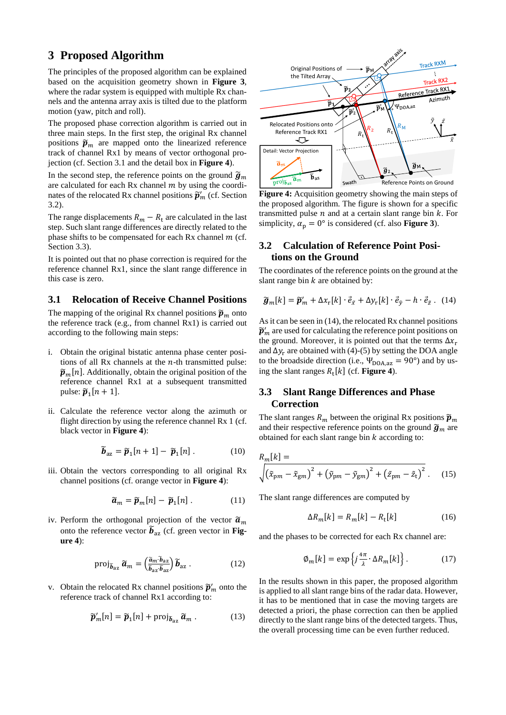## **3 Proposed Algorithm**

The principles of the proposed algorithm can be explained based on the acquisition geometry shown in **Figure 3**, where the radar system is equipped with multiple Rx channels and the antenna array axis is tilted due to the platform motion (yaw, pitch and roll).

The proposed phase correction algorithm is carried out in three main steps. In the first step, the original Rx channel positions  $\widetilde{\boldsymbol{p}}_m$  are mapped onto the linearized reference track of channel Rx1 by means of vector orthogonal projection (cf. Section 3.1 and the detail box in **Figure 4**).

In the second step, the reference points on the ground  $\tilde{\mathbf{g}}_m$ are calculated for each Rx channel  $m$  by using the coordinates of the relocated Rx channel positions  $\widetilde{p}'_m$  (cf. Section 3.2).

The range displacements  $R_m - R_t$  are calculated in the last step. Such slant range differences are directly related to the phase shifts to be compensated for each Rx channel  $m$  (cf. Section 3.3).

It is pointed out that no phase correction is required for the reference channel Rx1, since the slant range difference in this case is zero.

#### **3.1 Relocation of Receive Channel Positions**

The mapping of the original Rx channel positions  $\widetilde{\boldsymbol{p}}_m$  onto the reference track (e.g., from channel Rx1) is carried out according to the following main steps:

- i. Obtain the original bistatic antenna phase center positions of all Rx channels at the  $n$ -th transmitted pulse:  $\widetilde{\mathbf{p}}_m[n]$ . Additionally, obtain the original position of the reference channel Rx1 at a subsequent transmitted pulse:  $\widetilde{\boldsymbol{p}}_1[n+1]$ .
- ii. Calculate the reference vector along the azimuth or flight direction by using the reference channel Rx 1 (cf. black vector in **Figure 4**):

$$
\widetilde{\boldsymbol{b}}_{\rm az} = \widetilde{\boldsymbol{p}}_1[n+1] - \widetilde{\boldsymbol{p}}_1[n] \,. \tag{10}
$$

iii. Obtain the vectors corresponding to all original Rx channel positions (cf. orange vector in **Figure 4**):

$$
\widetilde{a}_m = \widetilde{p}_m[n] - \widetilde{p}_1[n] \ . \tag{11}
$$

iv. Perform the orthogonal projection of the vector  $\tilde{a}_m$ onto the reference vector  $\widetilde{b}_{\rm az}$  (cf. green vector in **Figure 4**):

$$
\text{proj}_{\widetilde{b}_{\text{az}}} \widetilde{a}_m = \left(\frac{\widetilde{a}_m \cdot \widetilde{b}_{\text{az}}}{\widetilde{b}_{\text{az}} \cdot \widetilde{b}_{\text{az}}}\right) \widetilde{b}_{\text{az}} \,. \tag{12}
$$

v. Obtain the relocated Rx channel positions  $\tilde{\mathbf{p}}'_m$  onto the reference track of channel Rx1 according to:

$$
\widetilde{\boldsymbol{p}}'_{m}[n] = \widetilde{\boldsymbol{p}}_{1}[n] + \text{proj}_{\widetilde{\boldsymbol{b}}_{\text{az}}} \widetilde{\boldsymbol{a}}_{m}. \tag{13}
$$



**Figure 4:** Acquisition geometry showing the main steps of the proposed algorithm. The figure is shown for a specific transmitted pulse  $n$  and at a certain slant range bin  $k$ . For simplicity,  $\alpha_p = 0^\circ$  is considered (cf. also **Figure 3**).

#### **3.2 Calculation of Reference Point Positions on the Ground**

The coordinates of the reference points on the ground at the slant range bin  $k$  are obtained by:

$$
\widetilde{\boldsymbol{g}}_m[k] = \widetilde{\boldsymbol{p}}_m' + \Delta x_r[k] \cdot \vec{e}_{\tilde{x}} + \Delta y_r[k] \cdot \vec{e}_{\tilde{y}} - h \cdot \vec{e}_{\tilde{z}}. \tag{14}
$$

As it can be seen in (14), the relocated Rx channel positions  $\widetilde{\bm p}'_m$  are used for calculating the reference point positions on the ground. Moreover, it is pointed out that the terms  $\Delta x_r$ and  $\Delta y_r$  are obtained with (4)-(5) by setting the DOA angle to the broadside direction (i.e.,  $\Psi_{\text{DOA,az}} = 90^{\circ}$ ) and by using the slant ranges  $R_t[k]$  (cf. **Figure 4**).

#### **3.3 Slant Range Differences and Phase Correction**

The slant ranges  $R_m$  between the original Rx positions  $\widetilde{\boldsymbol{p}}_m$ and their respective reference points on the ground  $\tilde{\mathbf{g}}_m$  are obtained for each slant range bin  $k$  according to:

$$
R_m[k] = \sqrt{(\tilde{x}_{pm} - \tilde{x}_{gm})^2 + (\tilde{y}_{pm} - \tilde{y}_{gm})^2 + (\tilde{z}_{pm} - \tilde{z}_t)^2}.
$$
 (15)

The slant range differences are computed by

$$
\Delta R_m[k] = R_m[k] - R_t[k] \tag{16}
$$

and the phases to be corrected for each Rx channel are:

$$
\varphi_m[k] = \exp\left\{j\frac{4\pi}{\lambda} \cdot \Delta R_m[k]\right\}.
$$
 (17)

In the results shown in this paper, the proposed algorithm is applied to all slant range bins of the radar data. However, it has to be mentioned that in case the moving targets are detected a priori, the phase correction can then be applied directly to the slant range bins of the detected targets. Thus, the overall processing time can be even further reduced.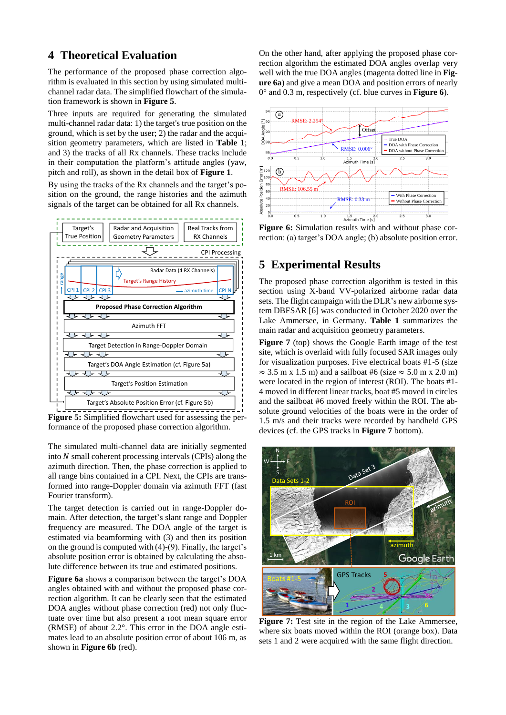## **4 Theoretical Evaluation**

The performance of the proposed phase correction algorithm is evaluated in this section by using simulated multichannel radar data. The simplified flowchart of the simulation framework is shown in **Figure 5**.

Three inputs are required for generating the simulated multi-channel radar data: 1) the target's true position on the ground, which is set by the user; 2) the radar and the acquisition geometry parameters, which are listed in **Table 1**; and 3) the tracks of all Rx channels. These tracks include in their computation the platform's attitude angles (yaw, pitch and roll), as shown in the detail box of **Figure 1**.

By using the tracks of the Rx channels and the target's position on the ground, the range histories and the azimuth signals of the target can be obtained for all Rx channels.



**Figure 5:** Simplified flowchart used for assessing the performance of the proposed phase correction algorithm.

The simulated multi-channel data are initially segmented into  $N$  small coherent processing intervals (CPIs) along the azimuth direction. Then, the phase correction is applied to all range bins contained in a CPI. Next, the CPIs are transformed into range-Doppler domain via azimuth FFT (fast Fourier transform).

The target detection is carried out in range-Doppler domain. After detection, the target's slant range and Doppler frequency are measured. The DOA angle of the target is estimated via beamforming with (3) and then its position on the ground is computed with (4)-(9). Finally, the target's absolute position error is obtained by calculating the absolute difference between its true and estimated positions.

**Figure 6a** shows a comparison between the target's DOA angles obtained with and without the proposed phase correction algorithm. It can be clearly seen that the estimated DOA angles without phase correction (red) not only fluctuate over time but also present a root mean square error (RMSE) of about 2.2°. This error in the DOA angle estimates lead to an absolute position error of about 106 m, as shown in **Figure 6b** (red).

On the other hand, after applying the proposed phase correction algorithm the estimated DOA angles overlap very well with the true DOA angles (magenta dotted line in **Figure 6a**) and give a mean DOA and position errors of nearly 0° and 0.3 m, respectively (cf. blue curves in **Figure 6**).



**Figure 6:** Simulation results with and without phase correction: (a) target's DOA angle; (b) absolute position error.

## **5 Experimental Results**

The proposed phase correction algorithm is tested in this section using X-band VV-polarized airborne radar data sets. The flight campaign with the DLR's new airborne system DBFSAR [6] was conducted in October 2020 over the Lake Ammersee, in Germany. **Table 1** summarizes the main radar and acquisition geometry parameters.

**Figure 7** (top) shows the Google Earth image of the test site, which is overlaid with fully focused SAR images only for visualization purposes. Five electrical boats #1-5 (size  $\approx$  3.5 m x 1.5 m) and a sailboat #6 (size  $\approx$  5.0 m x 2.0 m) were located in the region of interest (ROI). The boats #1- 4 moved in different linear tracks, boat #5 moved in circles and the sailboat #6 moved freely within the ROI. The absolute ground velocities of the boats were in the order of 1.5 m/s and their tracks were recorded by handheld GPS devices (cf. the GPS tracks in **Figure 7** bottom).



**Figure 7:** Test site in the region of the Lake Ammersee, where six boats moved within the ROI (orange box). Data sets 1 and 2 were acquired with the same flight direction.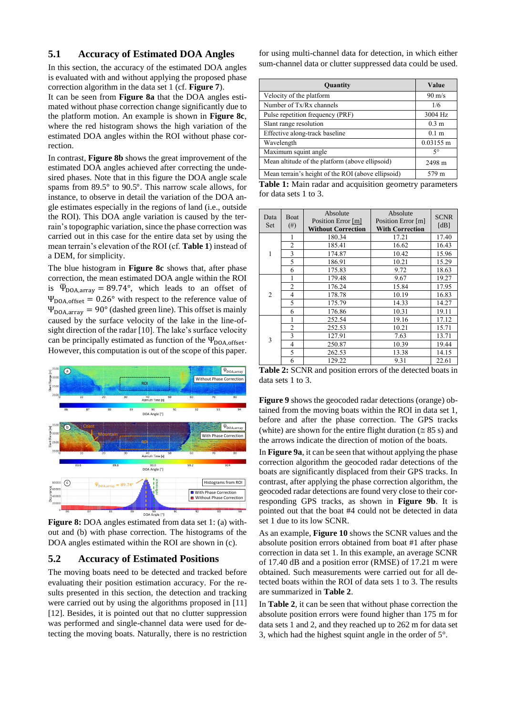#### **5.1 Accuracy of Estimated DOA Angles**

In this section, the accuracy of the estimated DOA angles is evaluated with and without applying the proposed phase correction algorithm in the data set 1 (cf. **Figure 7**).

It can be seen from **Figure 8a** that the DOA angles estimated without phase correction change significantly due to the platform motion. An example is shown in **Figure 8c**, where the red histogram shows the high variation of the estimated DOA angles within the ROI without phase correction.

In contrast, **Figure 8b** shows the great improvement of the estimated DOA angles achieved after correcting the undesired phases. Note that in this figure the DOA angle scale spams from 89.5° to 90.5°. This narrow scale allows, for instance, to observe in detail the variation of the DOA angle estimates especially in the regions of land (i.e., outside the ROI). This DOA angle variation is caused by the terrain's topographic variation, since the phase correction was carried out in this case for the entire data set by using the mean terrain's elevation of the ROI (cf. **Table 1**) instead of a DEM, for simplicity.

The blue histogram in **Figure 8c** shows that, after phase correction, the mean estimated DOA angle within the ROI is  $\overline{\Psi}_{\text{DOA,array}} = 89.74^{\circ}$ , which leads to an offset of  $\Psi_{\text{DOA,offset}} = 0.26^{\circ}$  with respect to the reference value of  $\Psi_{\text{DOA,array}} = 90^{\circ}$  (dashed green line). This offset is mainly caused by the surface velocity of the lake in the line-ofsight direction of the radar [10]. The lake's surface velocity can be principally estimated as function of the  $\Psi_{\text{DOA,offset}}$ . However, this computation is out of the scope of this paper.



**Figure 8:** DOA angles estimated from data set 1: (a) without and (b) with phase correction. The histograms of the DOA angles estimated within the ROI are shown in (c).

#### **5.2 Accuracy of Estimated Positions**

The moving boats need to be detected and tracked before evaluating their position estimation accuracy. For the results presented in this section, the detection and tracking were carried out by using the algorithms proposed in [11] [12]. Besides, it is pointed out that no clutter suppression was performed and single-channel data were used for detecting the moving boats. Naturally, there is no restriction for using multi-channel data for detection, in which either sum-channel data or clutter suppressed data could be used.

| Quantity                                           | Value            |
|----------------------------------------------------|------------------|
| Velocity of the platform                           | $90 \text{ m/s}$ |
| Number of Tx/Rx channels                           | 1/6              |
| Pulse repetition frequency (PRF)                   | 3004 Hz          |
| Slant range resolution                             | $0.3 \text{ m}$  |
| Effective along-track baseline                     | 0.1 <sub>m</sub> |
| Wavelength                                         | $0.03155$ m      |
| Maximum squint angle                               | $5^{\circ}$      |
| Mean altitude of the platform (above ellipsoid)    | 2498 m           |
| Mean terrain's height of the ROI (above ellipsoid) | 579 m            |

**Table 1:** Main radar and acquisition geometry parameters for data sets 1 to 3.

| Data<br>Set    | Boat<br>(# )   | Absolute<br>Position Error [m]<br><b>Without Correction</b> | Absolute<br>Position Error [m]<br><b>With Correction</b> | <b>SCNR</b><br>[dB] |
|----------------|----------------|-------------------------------------------------------------|----------------------------------------------------------|---------------------|
| 1              |                | 180.34                                                      | 17.21                                                    | 17.40               |
|                | $\overline{2}$ | 185.41                                                      | 16.62                                                    | 16.43               |
|                | 3              | 174.87                                                      | 10.42                                                    | 15.96               |
|                | 5              | 186.91                                                      | 10.21                                                    | 15.29               |
|                | 6              | 175.83                                                      | 9.72                                                     | 18.63               |
| $\overline{c}$ |                | 179.48                                                      | 9.67                                                     | 19.27               |
|                | $\overline{c}$ | 176.24                                                      | 15.84                                                    | 17.95               |
|                | 4              | 178.78                                                      | 10.19                                                    | 16.83               |
|                | 5              | 175.79                                                      | 14.33                                                    | 14.27               |
|                | 6              | 176.86                                                      | 10.31                                                    | 19.11               |
| 3              |                | 252.54                                                      | 19.16                                                    | 17.12               |
|                | $\overline{2}$ | 252.53                                                      | 10.21                                                    | 15.71               |
|                | 3              | 127.91                                                      | 7.63                                                     | 13.71               |
|                | 4              | 250.87                                                      | 10.39                                                    | 19.44               |
|                | 5              | 262.53                                                      | 13.38                                                    | 14.15               |
|                | 6              | 129.22                                                      | 9.31                                                     | 22.61               |

**Table 2:** SCNR and position errors of the detected boats in data sets 1 to 3.

**Figure 9** shows the geocoded radar detections (orange) obtained from the moving boats within the ROI in data set 1, before and after the phase correction. The GPS tracks (white) are shown for the entire flight duration ( $\approx 85$  s) and the arrows indicate the direction of motion of the boats.

In **Figure 9a**, it can be seen that without applying the phase correction algorithm the geocoded radar detections of the boats are significantly displaced from their GPS tracks. In contrast, after applying the phase correction algorithm, the geocoded radar detections are found very close to their corresponding GPS tracks, as shown in **Figure 9b**. It is pointed out that the boat #4 could not be detected in data set 1 due to its low SCNR.

As an example, **Figure 10** shows the SCNR values and the absolute position errors obtained from boat #1 after phase correction in data set 1. In this example, an average SCNR of 17.40 dB and a position error (RMSE) of 17.21 m were obtained. Such measurements were carried out for all detected boats within the ROI of data sets 1 to 3. The results are summarized in **Table 2**.

In **Table 2**, it can be seen that without phase correction the absolute position errors were found higher than 175 m for data sets 1 and 2, and they reached up to 262 m for data set 3, which had the highest squint angle in the order of 5°.